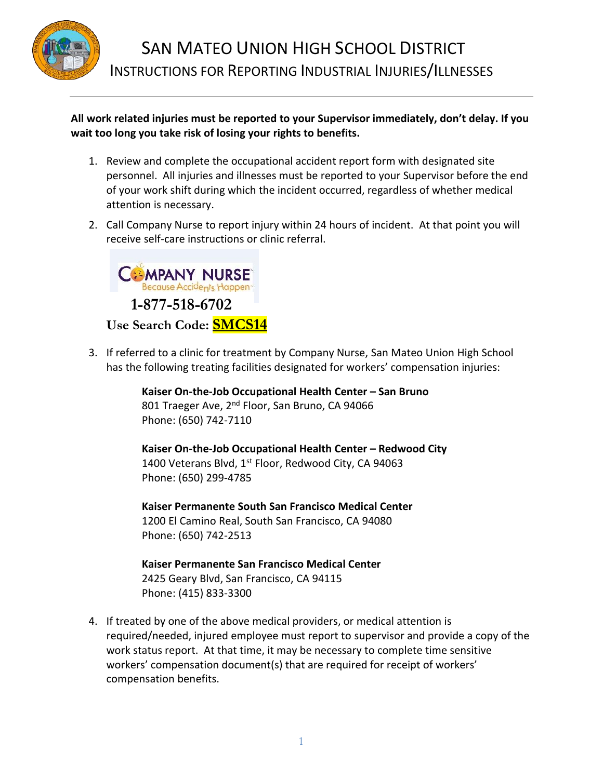

## **All work related injuries must be reported to your Supervisor immediately, don't delay. If you wait too long you take risk of losing your rights to benefits.**

- 1. Review and complete the occupational accident report form with designated site personnel. All injuries and illnesses must be reported to your Supervisor before the end of your work shift during which the incident occurred, regardless of whether medical attention is necessary.
- 2. Call Company Nurse to report injury within 24 hours of incident. At that point you will receive self-care instructions or clinic referral.



3. If referred to a clinic for treatment by Company Nurse, San Mateo Union High School has the following treating facilities designated for workers' compensation injuries:

> **Kaiser On-the-Job Occupational Health Center – San Bruno** 801 Traeger Ave, 2<sup>nd</sup> Floor, San Bruno, CA 94066 Phone: (650) 742-7110

**Kaiser On-the-Job Occupational Health Center – Redwood City** 1400 Veterans Blvd,  $1<sup>st</sup>$  Floor, Redwood City, CA 94063 Phone: (650) 299-4785

**Kaiser Permanente South San Francisco Medical Center** 1200 El Camino Real, South San Francisco, CA 94080 Phone: (650) 742-2513

**Kaiser Permanente San Francisco Medical Center** 2425 Geary Blvd, San Francisco, CA 94115 Phone: (415) 833-3300

4. If treated by one of the above medical providers, or medical attention is required/needed, injured employee must report to supervisor and provide a copy of the work status report. At that time, it may be necessary to complete time sensitive workers' compensation document(s) that are required for receipt of workers' compensation benefits.